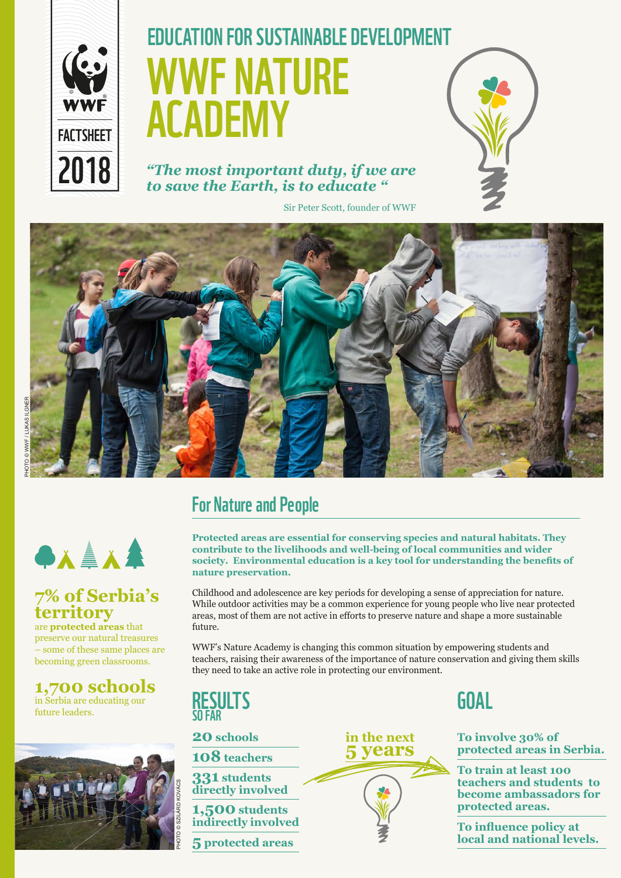

# WWF NATURE ACADEMY **EDUCATION FOR SUSTAINABLE DEVELOPMENT**

*"The most important duty, if we are to save the Earth, is to educate "*

Sir Peter Scott, founder of WWF





#### **7% of Serbia's territory**

are **protected areas** that preserve our natural treasures – some of these same places are becoming green classrooms.

**1,700 schools** in Serbia are educating our future leaders.



#### For Nature and People

**Protected areas are essential for conserving species and natural habitats. They contribute to the livelihoods and well-being of local communities and wider society. Environmental education is a key tool for understanding the benefits of nature preservation.** 

Childhood and adolescence are key periods for developing a sense of appreciation for nature. While outdoor activities may be a common experience for young people who live near protected areas, most of them are not active in efforts to preserve nature and shape a more sustainable future.

WWF's Nature Academy is changing this common situation by empowering students and teachers, raising their awareness of the importance of nature conservation and giving them skills they need to take an active role in protecting our environment.

**RESULTS SOF** 

**20 schools**

**108 teachers**

**331 students directly involved** 

**1,500 students indirectly involved** 

**5 protected areas**



# GOAL

**To involve 30% of protected areas in Serbia.** 

**To train at least 100 teachers and students to become ambassadors for protected areas.**

**To influence policy at local and national levels.**